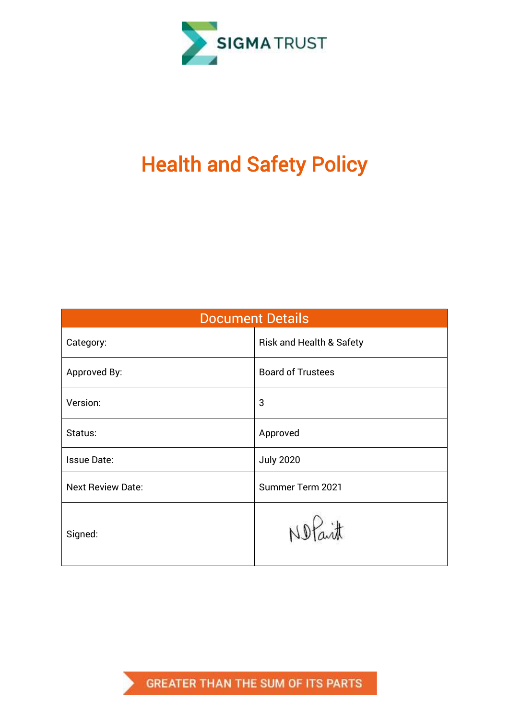

# Health and Safety Policy

| <b>Document Details</b>  |                                     |  |  |  |
|--------------------------|-------------------------------------|--|--|--|
| Category:                | <b>Risk and Health &amp; Safety</b> |  |  |  |
| Approved By:             | <b>Board of Trustees</b>            |  |  |  |
| Version:                 | 3                                   |  |  |  |
| Status:                  | Approved                            |  |  |  |
| <b>Issue Date:</b>       | <b>July 2020</b>                    |  |  |  |
| <b>Next Review Date:</b> | Summer Term 2021                    |  |  |  |
| Signed:                  | Notait                              |  |  |  |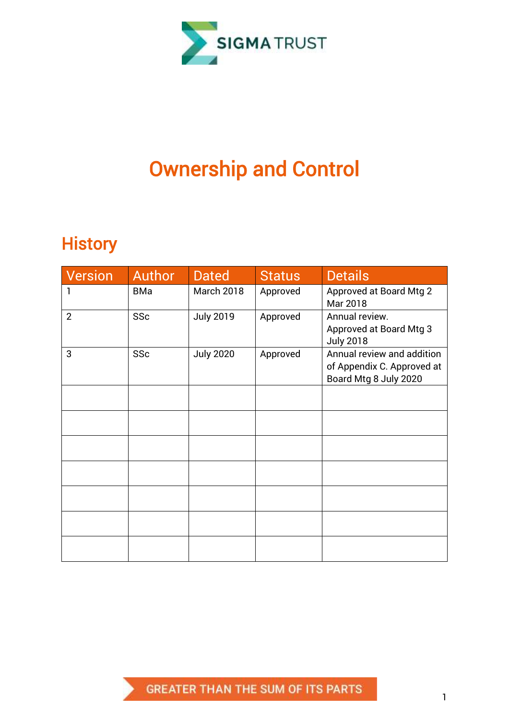

## Ownership and Control

## **History**

| <b>Version</b> | Author     | <b>Dated</b>     | <b>Status</b> | <b>Details</b>                                                                    |
|----------------|------------|------------------|---------------|-----------------------------------------------------------------------------------|
| 1              | <b>BMa</b> | March 2018       | Approved      | <b>Approved at Board Mtg 2</b><br>Mar 2018                                        |
| $\overline{2}$ | SSc        | <b>July 2019</b> | Approved      | Annual review.<br>Approved at Board Mtg 3<br><b>July 2018</b>                     |
| 3              | SSc        | <b>July 2020</b> | Approved      | Annual review and addition<br>of Appendix C. Approved at<br>Board Mtg 8 July 2020 |
|                |            |                  |               |                                                                                   |
|                |            |                  |               |                                                                                   |
|                |            |                  |               |                                                                                   |
|                |            |                  |               |                                                                                   |
|                |            |                  |               |                                                                                   |
|                |            |                  |               |                                                                                   |
|                |            |                  |               |                                                                                   |

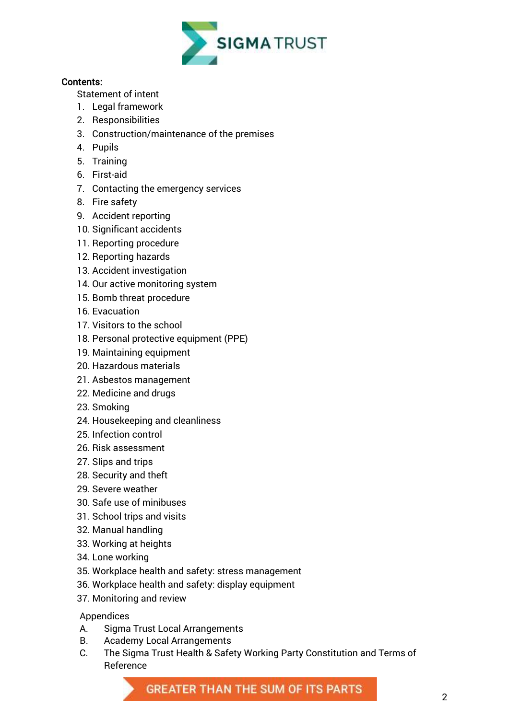

#### Contents:

[Statement of intent](#page-4-0)

- 1. [Legal framework](#page-4-1)
- 2. Responsibilities
- 3. [Construction/maintenance of the premises](#page-8-0)
- 4. [Pupils](#page-10-0)
- 5. [Training](#page-10-1)
- 6. [First-aid](#page-11-0)
- 7. [Contacting the emergency services](#page-11-1)
- 8. [Fire safety](#page-11-2)
- 9. [Accident reporting](#page-12-0)
- 10. [Significant accidents](#page-12-1)
- 11. [Reporting procedure](#page-14-0)
- 12. [Reporting hazards](#page-14-1)
- 13. [Accident investigation](#page-14-2)
- 14. [Our active monitoring system](#page-14-3)
- 15. [Bomb threat procedure](#page-15-0)
- 16. [Evacuation](#page-16-0)
- 17. [Visitors to the school](#page-16-1)
- 18. [Personal protective equipment \(PPE\)](#page-17-0)
- 19. [Maintaining equipment](#page-18-0)
- 20. [Hazardous materials](#page-18-1)
- 21. [Asbestos management](#page-20-0)
- 22. [Medicine and drugs](#page-20-1)
- 23. [Smoking](#page-20-2)
- 24. [Housekeeping and cleanliness](#page-20-3)
- 25. [Infection control](#page-20-4)
- 26. [Risk assessment](#page-21-0)
- 27. [Slips and trips](#page-22-0)
- 28. [Security and theft](#page-22-1)
- 29. [Severe weather](#page-23-0)
- 30. [Safe use of minibuses](#page-23-1)
- 31. [School trips and visits](#page-23-2)
- 32. [Manual handling](#page-24-0)
- 33. [Working at heights](#page-24-1)
- 34. [Lone working](#page-24-2)
- 35. [Workplace health and safety: stress management](#page-24-3)
- 36. [Workplace health and safety: display equipment](#page-24-4)
- 37. [Monitoring and review](#page-24-5)

#### Appendices

- A. Sigma Trust Local Arrangements
- B. [Academy](#page-25-0) Local Arrangements
- C. The Sigma Trust Health & Safety Working Party Constitution and Terms of Reference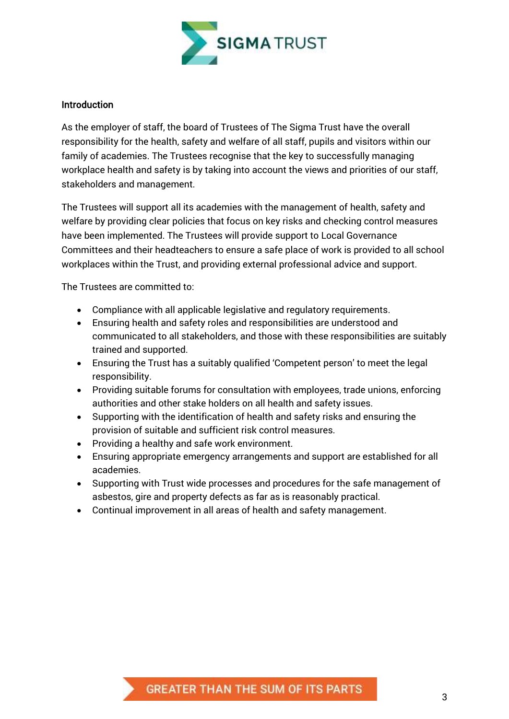

#### Introduction

As the employer of staff, the board of Trustees of The Sigma Trust have the overall responsibility for the health, safety and welfare of all staff, pupils and visitors within our family of academies. The Trustees recognise that the key to successfully managing workplace health and safety is by taking into account the views and priorities of our staff, stakeholders and management.

The Trustees will support all its academies with the management of health, safety and welfare by providing clear policies that focus on key risks and checking control measures have been implemented. The Trustees will provide support to Local Governance Committees and their headteachers to ensure a safe place of work is provided to all school workplaces within the Trust, and providing external professional advice and support.

The Trustees are committed to:

- Compliance with all applicable legislative and regulatory requirements.
- Ensuring health and safety roles and responsibilities are understood and communicated to all stakeholders, and those with these responsibilities are suitably trained and supported.
- Ensuring the Trust has a suitably qualified 'Competent person' to meet the legal responsibility.
- Providing suitable forums for consultation with employees, trade unions, enforcing authorities and other stake holders on all health and safety issues.
- Supporting with the identification of health and safety risks and ensuring the provision of suitable and sufficient risk control measures.
- Providing a healthy and safe work environment.
- Ensuring appropriate emergency arrangements and support are established for all academies.
- Supporting with Trust wide processes and procedures for the safe management of asbestos, gire and property defects as far as is reasonably practical.
- Continual improvement in all areas of health and safety management.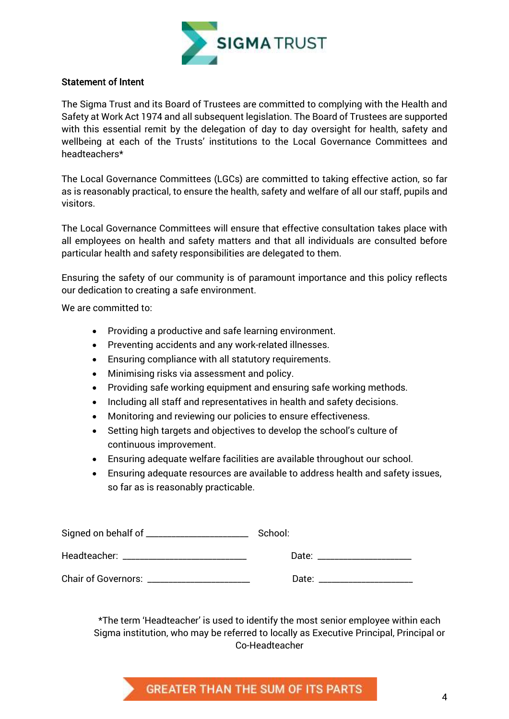

#### <span id="page-4-0"></span>Statement of Intent

The Sigma Trust and its Board of Trustees are committed to complying with the Health and Safety at Work Act 1974 and all subsequent legislation. The Board of Trustees are supported with this essential remit by the delegation of day to day oversight for health, safety and wellbeing at each of the Trusts' institutions to the Local Governance Committees and headteachers\*

The Local Governance Committees (LGCs) are committed to taking effective action, so far as is reasonably practical, to ensure the health, safety and welfare of all our staff, pupils and visitors.

The Local Governance Committees will ensure that effective consultation takes place with all employees on health and safety matters and that all individuals are consulted before particular health and safety responsibilities are delegated to them.

Ensuring the safety of our community is of paramount importance and this policy reflects our dedication to creating a safe environment.

We are committed to:

- Providing a productive and safe learning environment.
- Preventing accidents and any work-related illnesses.
- Ensuring compliance with all statutory requirements.
- Minimising risks via assessment and policy.
- Providing safe working equipment and ensuring safe working methods.
- Including all staff and representatives in health and safety decisions.
- Monitoring and reviewing our policies to ensure effectiveness.
- Setting high targets and objectives to develop the school's culture of continuous improvement.
- Ensuring adequate welfare facilities are available throughout our school.
- Ensuring adequate resources are available to address health and safety issues, so far as is reasonably practicable.

|                                         | School:                                                                                                                                                                                                                        |  |
|-----------------------------------------|--------------------------------------------------------------------------------------------------------------------------------------------------------------------------------------------------------------------------------|--|
| Headteacher: _________________________  | Date: the contract of the contract of the contract of the contract of the contract of the contract of the contract of the contract of the contract of the contract of the contract of the contract of the contract of the cont |  |
| Chair of Governors: ___________________ | Date:                                                                                                                                                                                                                          |  |

<span id="page-4-1"></span>\*The term 'Headteacher' is used to identify the most senior employee within each Sigma institution, who may be referred to locally as Executive Principal, Principal or Co-Headteacher

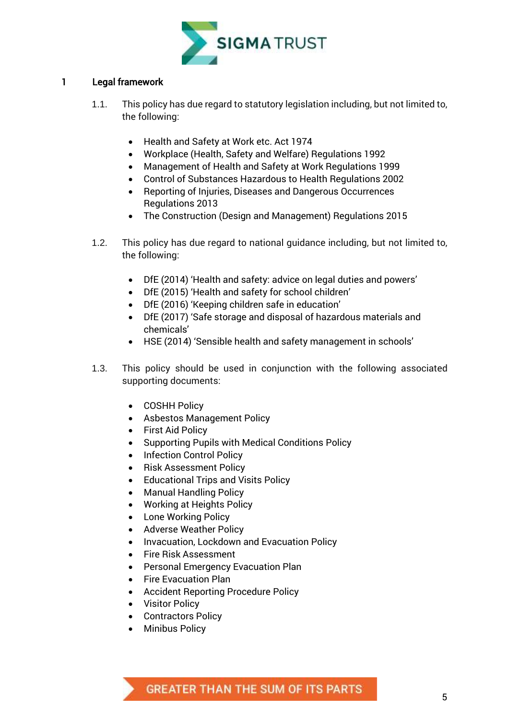

#### 1 Legal framework

- 1.1. This policy has due regard to statutory legislation including, but not limited to, the following:
	- Health and Safety at Work etc. Act 1974
	- Workplace (Health, Safety and Welfare) Regulations 1992
	- Management of Health and Safety at Work Regulations 1999
	- Control of Substances Hazardous to Health Regulations 2002
	- Reporting of Injuries, Diseases and Dangerous Occurrences Regulations 2013
	- The Construction (Design and Management) Regulations 2015
- 1.2. This policy has due regard to national guidance including, but not limited to, the following:
	- DfE (2014) 'Health and safety: advice on legal duties and powers'
	- DfE (2015) 'Health and safety for school children'
	- DfE (2016) 'Keeping children safe in education'
	- DfE (2017) 'Safe storage and disposal of hazardous materials and chemicals'
	- HSE (2014) 'Sensible health and safety management in schools'
- 1.3. This policy should be used in conjunction with the following associated supporting documents:
	- COSHH Policy
	- Asbestos Management Policy
	- First Aid Policy
	- Supporting Pupils with Medical Conditions Policy
	- Infection Control Policy
	- Risk Assessment Policy
	- **•** Educational Trips and Visits Policy
	- Manual Handling Policy
	- Working at Heights Policy
	- Lone Working Policy
	- Adverse Weather Policy
	- Invacuation, Lockdown and Evacuation Policy
	- Fire Risk Assessment
	- Personal Emergency Evacuation Plan
	- Fire Evacuation Plan
	- Accident Reporting Procedure Policy
	- Visitor Policy
	- Contractors Policy
	- Minibus Policy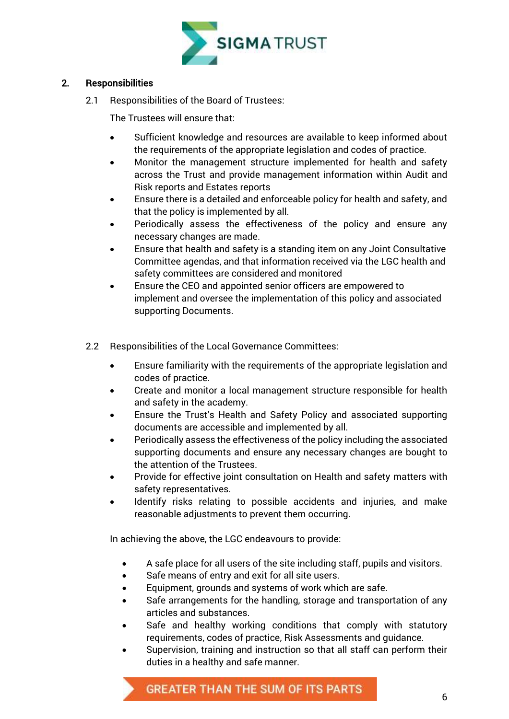

#### 2. Responsibilities

2.1 Responsibilities of the Board of Trustees:

The Trustees will ensure that:

- Sufficient knowledge and resources are available to keep informed about the requirements of the appropriate legislation and codes of practice.
- Monitor the management structure implemented for health and safety across the Trust and provide management information within Audit and Risk reports and Estates reports
- Ensure there is a detailed and enforceable policy for health and safety, and that the policy is implemented by all.
- Periodically assess the effectiveness of the policy and ensure any necessary changes are made.
- Ensure that health and safety is a standing item on any Joint Consultative Committee agendas, and that information received via the LGC health and safety committees are considered and monitored
- Ensure the CEO and appointed senior officers are empowered to implement and oversee the implementation of this policy and associated supporting Documents.
- 2.2 Responsibilities of the Local Governance Committees:
	- Ensure familiarity with the requirements of the appropriate legislation and codes of practice.
	- Create and monitor a local management structure responsible for health and safety in the academy.
	- Ensure the Trust's Health and Safety Policy and associated supporting documents are accessible and implemented by all.
	- Periodically assess the effectiveness of the policy including the associated supporting documents and ensure any necessary changes are bought to the attention of the Trustees.
	- Provide for effective joint consultation on Health and safety matters with safety representatives.
	- Identify risks relating to possible accidents and injuries, and make reasonable adjustments to prevent them occurring.

In achieving the above, the LGC endeavours to provide:

- A safe place for all users of the site including staff, pupils and visitors.
- Safe means of entry and exit for all site users.
- Equipment, grounds and systems of work which are safe.
- Safe arrangements for the handling, storage and transportation of any articles and substances.
- Safe and healthy working conditions that comply with statutory requirements, codes of practice, Risk Assessments and guidance.
- Supervision, training and instruction so that all staff can perform their duties in a healthy and safe manner.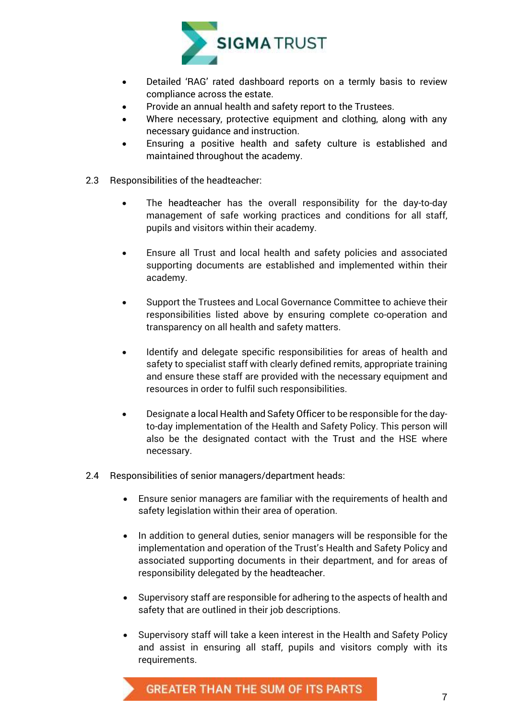

- Detailed 'RAG' rated dashboard reports on a termly basis to review compliance across the estate.
- Provide an annual health and safety report to the Trustees.
- Where necessary, protective equipment and clothing, along with any necessary guidance and instruction.
- Ensuring a positive health and safety culture is established and maintained throughout the academy.
- 2.3 Responsibilities of the headteacher:
	- The headteacher has the overall responsibility for the day-to-day management of safe working practices and conditions for all staff, pupils and visitors within their academy.
	- Ensure all Trust and local health and safety policies and associated supporting documents are established and implemented within their academy.
	- Support the Trustees and Local Governance Committee to achieve their responsibilities listed above by ensuring complete co-operation and transparency on all health and safety matters.
	- Identify and delegate specific responsibilities for areas of health and safety to specialist staff with clearly defined remits, appropriate training and ensure these staff are provided with the necessary equipment and resources in order to fulfil such responsibilities.
	- Designate a local Health and Safety Officer to be responsible for the dayto-day implementation of the Health and Safety Policy. This person will also be the designated contact with the Trust and the HSE where necessary.
- 2.4 Responsibilities of senior managers/department heads:
	- Ensure senior managers are familiar with the requirements of health and safety legislation within their area of operation.
	- In addition to general duties, senior managers will be responsible for the implementation and operation of the Trust's Health and Safety Policy and associated supporting documents in their department, and for areas of responsibility delegated by the headteacher.
	- Supervisory staff are responsible for adhering to the aspects of health and safety that are outlined in their job descriptions.
	- Supervisory staff will take a keen interest in the Health and Safety Policy and assist in ensuring all staff, pupils and visitors comply with its requirements.

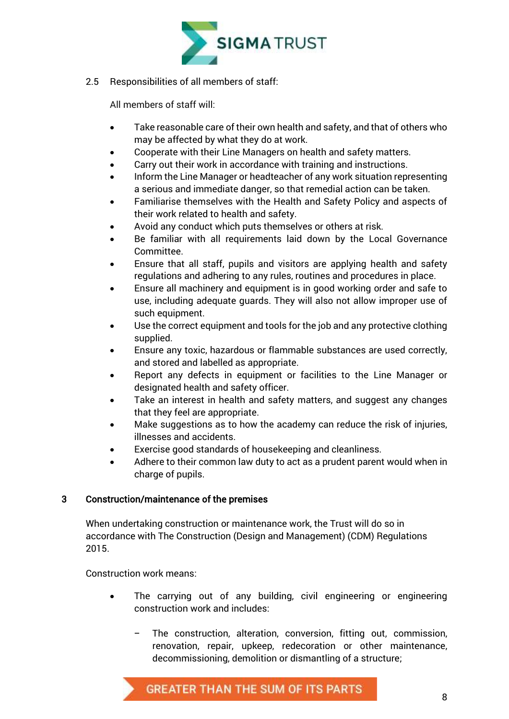

2.5 Responsibilities of all members of staff:

All members of staff will:

- Take reasonable care of their own health and safety, and that of others who may be affected by what they do at work.
- Cooperate with their Line Managers on health and safety matters.
- Carry out their work in accordance with training and instructions.
- Inform the Line Manager or headteacher of any work situation representing a serious and immediate danger, so that remedial action can be taken.
- Familiarise themselves with the Health and Safety Policy and aspects of their work related to health and safety.
- Avoid any conduct which puts themselves or others at risk.
- Be familiar with all requirements laid down by the Local Governance Committee.
- Ensure that all staff, pupils and visitors are applying health and safety regulations and adhering to any rules, routines and procedures in place.
- Ensure all machinery and equipment is in good working order and safe to use, including adequate guards. They will also not allow improper use of such equipment.
- Use the correct equipment and tools for the job and any protective clothing supplied.
- Ensure any toxic, hazardous or flammable substances are used correctly, and stored and labelled as appropriate.
- Report any defects in equipment or facilities to the Line Manager or designated health and safety officer.
- Take an interest in health and safety matters, and suggest any changes that they feel are appropriate.
- Make suggestions as to how the academy can reduce the risk of injuries, illnesses and accidents.
- Exercise good standards of housekeeping and cleanliness.
- Adhere to their common law duty to act as a prudent parent would when in charge of pupils.

#### <span id="page-8-0"></span>3 Construction/maintenance of the premises

When undertaking construction or maintenance work, the Trust will do so in accordance with The Construction (Design and Management) (CDM) Regulations 2015.

Construction work means:

- The carrying out of any building, civil engineering or engineering construction work and includes:
	- The construction, alteration, conversion, fitting out, commission, renovation, repair, upkeep, redecoration or other maintenance, decommissioning, demolition or dismantling of a structure;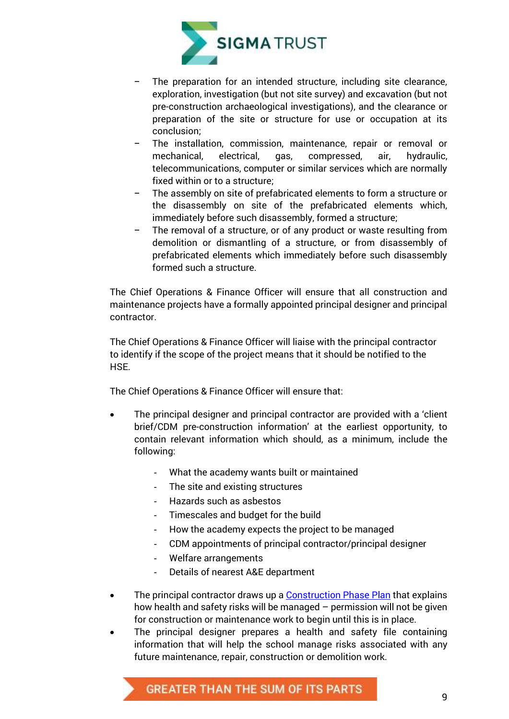

- The preparation for an intended structure, including site clearance, exploration, investigation (but not site survey) and excavation (but not pre-construction archaeological investigations), and the clearance or preparation of the site or structure for use or occupation at its conclusion;
- The installation, commission, maintenance, repair or removal or mechanical, electrical, gas, compressed, air, hydraulic, telecommunications, computer or similar services which are normally fixed within or to a structure;
- The assembly on site of prefabricated elements to form a structure or the disassembly on site of the prefabricated elements which, immediately before such disassembly, formed a structure;
- The removal of a structure, or of any product or waste resulting from demolition or dismantling of a structure, or from disassembly of prefabricated elements which immediately before such disassembly formed such a structure.

The Chief Operations & Finance Officer will ensure that all construction and maintenance projects have a formally appointed principal designer and principal contractor.

The Chief Operations & Finance Officer will liaise with the principal contractor to identify if the scope of the project means that it should be notified to the HSE.

The Chief Operations & Finance Officer will ensure that:

- The principal designer and principal contractor are provided with a 'client brief/CDM pre-construction information' at the earliest opportunity, to contain relevant information which should, as a minimum, include the following:
	- What the academy wants built or maintained
	- The site and existing structures
	- Hazards such as asbestos
	- Timescales and budget for the build
	- How the academy expects the project to be managed
	- CDM appointments of principal contractor/principal designer
	- Welfare arrangements
	- Details of nearest A&E department
- The principal contractor draws up a Construction Phase Plan that explains how health and safety risks will be managed – permission will not be given for construction or maintenance work to begin until this is in place.
- The principal designer prepares a health and safety file containing information that will help the school manage risks associated with any future maintenance, repair, construction or demolition work.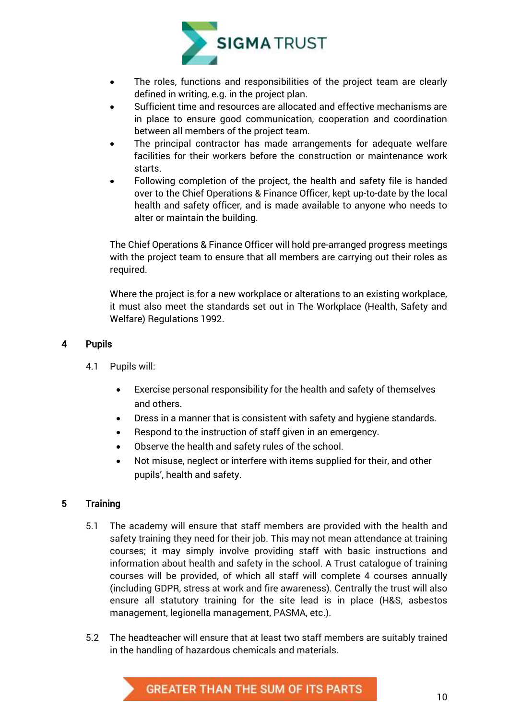

- The roles, functions and responsibilities of the project team are clearly defined in writing, e.g. in the project plan.
- Sufficient time and resources are allocated and effective mechanisms are in place to ensure good communication, cooperation and coordination between all members of the project team.
- The principal contractor has made arrangements for adequate welfare facilities for their workers before the construction or maintenance work starts.
- Following completion of the project, the health and safety file is handed over to the Chief Operations & Finance Officer, kept up-to-date by the local health and safety officer, and is made available to anyone who needs to alter or maintain the building.

The Chief Operations & Finance Officer will hold pre-arranged progress meetings with the project team to ensure that all members are carrying out their roles as required.

Where the project is for a new workplace or alterations to an existing workplace, it must also meet the standards set out in The Workplace (Health, Safety and Welfare) Regulations 1992.

#### <span id="page-10-0"></span>4 Pupils

- 4.1 Pupils will:
	- Exercise personal responsibility for the health and safety of themselves and others.
	- Dress in a manner that is consistent with safety and hygiene standards.
	- Respond to the instruction of staff given in an emergency.
	- Observe the health and safety rules of the school.
	- Not misuse, neglect or interfere with items supplied for their, and other pupils', health and safety.

#### <span id="page-10-1"></span>5 Training

- 5.1 The academy will ensure that staff members are provided with the health and safety training they need for their job. This may not mean attendance at training courses; it may simply involve providing staff with basic instructions and information about health and safety in the school. A Trust catalogue of training courses will be provided, of which all staff will complete 4 courses annually (including GDPR, stress at work and fire awareness). Centrally the trust will also ensure all statutory training for the site lead is in place (H&S, asbestos management, legionella management, PASMA, etc.).
- 5.2 The headteacher will ensure that at least two staff members are suitably trained in the handling of hazardous chemicals and materials.

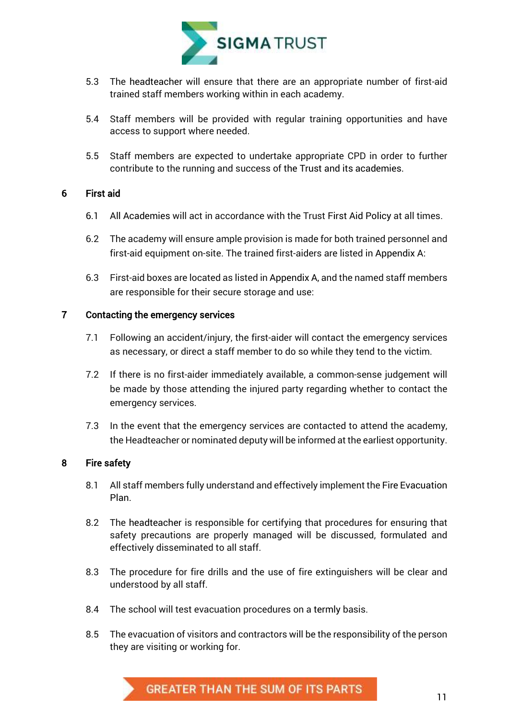

- 5.3 The headteacher will ensure that there are an appropriate number of first-aid trained staff members working within in each academy.
- 5.4 Staff members will be provided with regular training opportunities and have access to support where needed.
- 5.5 Staff members are expected to undertake appropriate CPD in order to further contribute to the running and success of the Trust and its academies.

#### <span id="page-11-0"></span>6 First aid

- 6.1 All Academies will act in accordance with the Trust First Aid Policy at all times.
- 6.2 The academy will ensure ample provision is made for both trained personnel and first-aid equipment on-site. The trained first-aiders are listed in Appendix A:
- 6.3 First-aid boxes are located as listed in Appendix A, and the named staff members are responsible for their secure storage and use:

#### <span id="page-11-1"></span>7 Contacting the emergency services

- 7.1 Following an accident/injury, the first-aider will contact the emergency services as necessary, or direct a staff member to do so while they tend to the victim.
- 7.2 If there is no first-aider immediately available, a common-sense judgement will be made by those attending the injured party regarding whether to contact the emergency services.
- 7.3 In the event that the emergency services are contacted to attend the academy, the Headteacher or nominated deputy will be informed at the earliest opportunity.

#### <span id="page-11-2"></span>8 Fire safety

- 8.1 All staff members fully understand and effectively implement the Fire Evacuation Plan.
- 8.2 The headteacher is responsible for certifying that procedures for ensuring that safety precautions are properly managed will be discussed, formulated and effectively disseminated to all staff.
- 8.3 The procedure for fire drills and the use of fire extinguishers will be clear and understood by all staff.
- 8.4 The school will test evacuation procedures on a termly basis.
- 8.5 The evacuation of visitors and contractors will be the responsibility of the person they are visiting or working for.

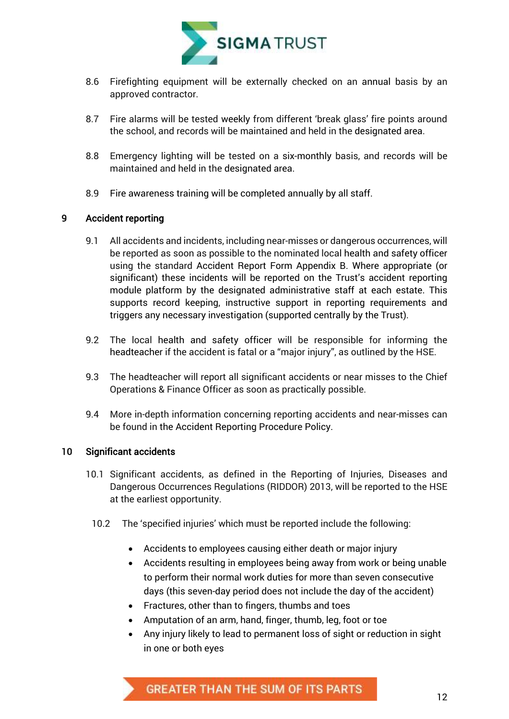

- 8.6 Firefighting equipment will be externally checked on an annual basis by an approved contractor.
- 8.7 Fire alarms will be tested weekly from different 'break glass' fire points around the school, and records will be maintained and held in the designated area.
- 8.8 Emergency lighting will be tested on a six-monthly basis, and records will be maintained and held in the designated area.
- 8.9 Fire awareness training will be completed annually by all staff.

#### <span id="page-12-0"></span>9 Accident reporting

- 9.1 All accidents and incidents, including near-misses or dangerous occurrences, will be reported as soon as possible to the nominated local health and safety officer using the standard Accident Report Form Appendix B. Where appropriate (or significant) these incidents will be reported on the Trust's accident reporting module platform by the designated administrative staff at each estate. This supports record keeping, instructive support in reporting requirements and triggers any necessary investigation (supported centrally by the Trust).
- 9.2 The local health and safety officer will be responsible for informing the headteacher if the accident is fatal or a "major injury", as outlined by the HSE.
- 9.3 The headteacher will report all significant accidents or near misses to the Chief Operations & Finance Officer as soon as practically possible.
- 9.4 More in-depth information concerning reporting accidents and near-misses can be found in the Accident Reporting Procedure Policy.

#### <span id="page-12-1"></span>10 Significant accidents

- 10.1 Significant accidents, as defined in the Reporting of Injuries, Diseases and Dangerous Occurrences Regulations (RIDDOR) 2013, will be reported to the HSE at the earliest opportunity.
	- 10.2 The 'specified injuries' which must be reported include the following:
		- Accidents to employees causing either death or major injury
		- Accidents resulting in employees being away from work or being unable to perform their normal work duties for more than seven consecutive days (this seven-day period does not include the day of the accident)
		- Fractures, other than to fingers, thumbs and toes
		- Amputation of an arm, hand, finger, thumb, leg, foot or toe
		- Any injury likely to lead to permanent loss of sight or reduction in sight in one or both eyes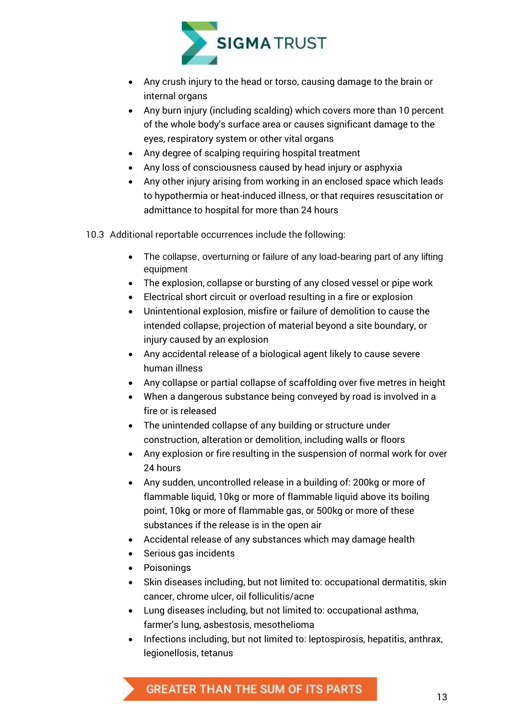

- Any crush injury to the head or torso, causing damage to the brain or internal organs
- Any burn injury (including scalding) which covers more than 10 percent of the whole body's surface area or causes significant damage to the eyes, respiratory system or other vital organs
- Any degree of scalping requiring hospital treatment
- Any loss of consciousness caused by head injury or asphyxia
- Any other injury arising from working in an enclosed space which leads to hypothermia or heat-induced illness, or that requires resuscitation or admittance to hospital for more than 24 hours
- 10.3 Additional reportable occurrences include the following:
	- The collapse, overturning or failure of any load-bearing part of any lifting equipment
	- The explosion, collapse or bursting of any closed vessel or pipe work
	- Electrical short circuit or overload resulting in a fire or explosion
	- Unintentional explosion, misfire or failure of demolition to cause the intended collapse, projection of material beyond a site boundary, or injury caused by an explosion
	- Any accidental release of a biological agent likely to cause severe human illness
	- Any collapse or partial collapse of scaffolding over five metres in height
	- When a dangerous substance being conveyed by road is involved in a fire or is released
	- The unintended collapse of any building or structure under construction, alteration or demolition, including walls or floors
	- Any explosion or fire resulting in the suspension of normal work for over 24 hours
	- Any sudden, uncontrolled release in a building of: 200kg or more of flammable liquid, 10kg or more of flammable liquid above its boiling point, 10kg or more of flammable gas, or 500kg or more of these substances if the release is in the open air
	- Accidental release of any substances which may damage health
	- Serious gas incidents
	- Poisonings
	- Skin diseases including, but not limited to: occupational dermatitis, skin cancer, chrome ulcer, oil folliculitis/acne
	- Lung diseases including, but not limited to: occupational asthma, farmer's lung, asbestosis, mesothelioma
	- Infections including, but not limited to: leptospirosis, hepatitis, anthrax, legionellosis, tetanus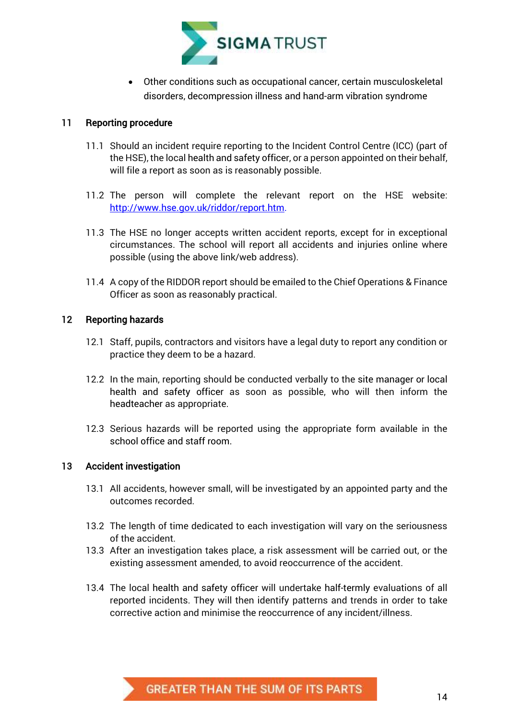

 Other conditions such as occupational cancer, certain musculoskeletal disorders, decompression illness and hand-arm vibration syndrome

#### <span id="page-14-0"></span>11 Reporting procedure

- 11.1 Should an incident require reporting to the Incident Control Centre (ICC) (part of the HSE), the local health and safety officer, or a person appointed on their behalf, will file a report as soon as is reasonably possible.
- 11.2 The person will complete the relevant report on the HSE website: [http://www.hse.gov.uk/riddor/report.htm.](http://www.hse.gov.uk/riddor/report.htm)
- 11.3 The HSE no longer accepts written accident reports, except for in exceptional circumstances. The school will report all accidents and injuries online where possible (using the above link/web address).
- 11.4 A copy of the RIDDOR report should be emailed to the Chief Operations & Finance Officer as soon as reasonably practical.

#### <span id="page-14-1"></span>12 Reporting hazards

- 12.1 Staff, pupils, contractors and visitors have a legal duty to report any condition or practice they deem to be a hazard.
- 12.2 In the main, reporting should be conducted verbally to the site manager or local health and safety officer as soon as possible, who will then inform the headteacher as appropriate.
- 12.3 Serious hazards will be reported using the appropriate form available in the school office and staff room.

#### <span id="page-14-2"></span>13 Accident investigation

- 13.1 All accidents, however small, will be investigated by an appointed party and the outcomes recorded.
- 13.2 The length of time dedicated to each investigation will vary on the seriousness of the accident.
- 13.3 After an investigation takes place, a risk assessment will be carried out, or the existing assessment amended, to avoid reoccurrence of the accident.
- <span id="page-14-3"></span>13.4 The local health and safety officer will undertake half-termly evaluations of all reported incidents. They will then identify patterns and trends in order to take corrective action and minimise the reoccurrence of any incident/illness.

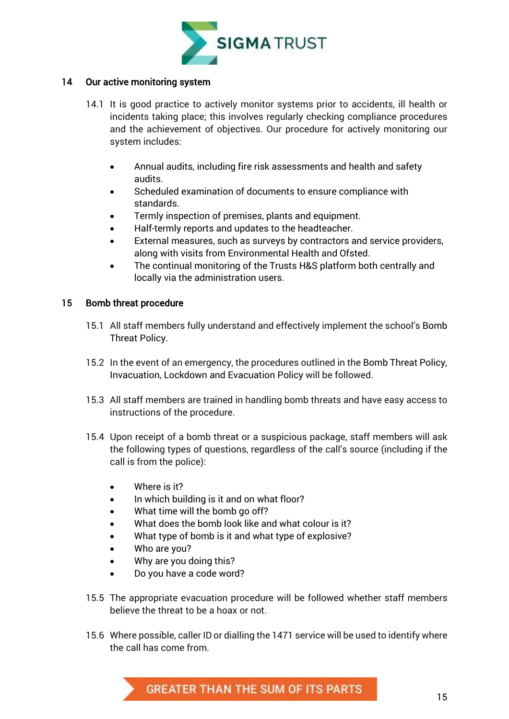

#### 14 Our active monitoring system

- 14.1 It is good practice to actively monitor systems prior to accidents, ill health or incidents taking place; this involves regularly checking compliance procedures and the achievement of objectives. Our procedure for actively monitoring our system includes:
	- Annual audits, including fire risk assessments and health and safety audits.
	- Scheduled examination of documents to ensure compliance with standards.
	- Termly inspection of premises, plants and equipment.
	- Half-termly reports and updates to the headteacher.
	- External measures, such as surveys by contractors and service providers, along with visits from Environmental Health and Ofsted.
	- The continual monitoring of the Trusts H&S platform both centrally and locally via the administration users.

#### <span id="page-15-0"></span>15 Bomb threat procedure

- 15.1 All staff members fully understand and effectively implement the school's Bomb Threat Policy.
- 15.2 In the event of an emergency, the procedures outlined in the Bomb Threat Policy, Invacuation, Lockdown and Evacuation Policy will be followed.
- 15.3 All staff members are trained in handling bomb threats and have easy access to instructions of the procedure.
- 15.4 Upon receipt of a bomb threat or a suspicious package, staff members will ask the following types of questions, regardless of the call's source (including if the call is from the police):
	- Where is it?
	- In which building is it and on what floor?
	- What time will the bomb go off?
	- What does the bomb look like and what colour is it?
	- What type of bomb is it and what type of explosive?
	- Who are you?
	- Why are you doing this?
	- Do you have a code word?
- 15.5 The appropriate evacuation procedure will be followed whether staff members believe the threat to be a hoax or not.
- 15.6 Where possible, caller ID or dialling the 1471 service will be used to identify where the call has come from.

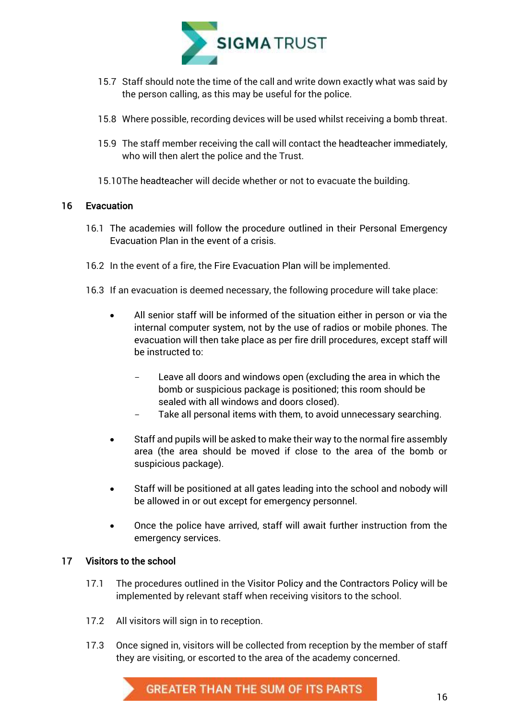

- 15.7 Staff should note the time of the call and write down exactly what was said by the person calling, as this may be useful for the police.
- 15.8 Where possible, recording devices will be used whilst receiving a bomb threat.
- 15.9 The staff member receiving the call will contact the headteacher immediately, who will then alert the police and the Trust.
- 15.10The headteacher will decide whether or not to evacuate the building.

#### <span id="page-16-0"></span>16 Evacuation

- 16.1 The academies will follow the procedure outlined in their Personal Emergency Evacuation Plan in the event of a crisis.
- 16.2 In the event of a fire, the Fire Evacuation Plan will be implemented.
- 16.3 If an evacuation is deemed necessary, the following procedure will take place:
	- All senior staff will be informed of the situation either in person or via the internal computer system, not by the use of radios or mobile phones. The evacuation will then take place as per fire drill procedures, except staff will be instructed to:
		- Leave all doors and windows open (excluding the area in which the bomb or suspicious package is positioned; this room should be sealed with all windows and doors closed).
		- Take all personal items with them, to avoid unnecessary searching.
	- Staff and pupils will be asked to make their way to the normal fire assembly area (the area should be moved if close to the area of the bomb or suspicious package).
	- Staff will be positioned at all gates leading into the school and nobody will be allowed in or out except for emergency personnel.
	- Once the police have arrived, staff will await further instruction from the emergency services.

#### <span id="page-16-1"></span>17 Visitors to the school

- 17.1 The procedures outlined in the Visitor Policy and the Contractors Policy will be implemented by relevant staff when receiving visitors to the school.
- 17.2 All visitors will sign in to reception.
- 17.3 Once signed in, visitors will be collected from reception by the member of staff they are visiting, or escorted to the area of the academy concerned.

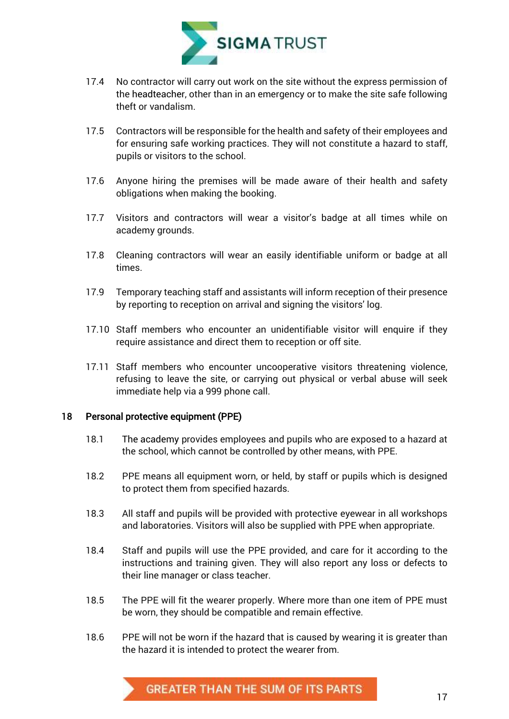

- 17.4 No contractor will carry out work on the site without the express permission of the headteacher, other than in an emergency or to make the site safe following theft or vandalism.
- 17.5 Contractors will be responsible for the health and safety of their employees and for ensuring safe working practices. They will not constitute a hazard to staff, pupils or visitors to the school.
- 17.6 Anyone hiring the premises will be made aware of their health and safety obligations when making the booking.
- 17.7 Visitors and contractors will wear a visitor's badge at all times while on academy grounds.
- 17.8 Cleaning contractors will wear an easily identifiable uniform or badge at all times.
- 17.9 Temporary teaching staff and assistants will inform reception of their presence by reporting to reception on arrival and signing the visitors' log.
- 17.10 Staff members who encounter an unidentifiable visitor will enquire if they require assistance and direct them to reception or off site.
- 17.11 Staff members who encounter uncooperative visitors threatening violence, refusing to leave the site, or carrying out physical or verbal abuse will seek immediate help via a 999 phone call.

#### <span id="page-17-0"></span>18 Personal protective equipment (PPE)

- 18.1 The academy provides employees and pupils who are exposed to a hazard at the school, which cannot be controlled by other means, with PPE.
- 18.2 PPE means all equipment worn, or held, by staff or pupils which is designed to protect them from specified hazards.
- 18.3 All staff and pupils will be provided with protective eyewear in all workshops and laboratories. Visitors will also be supplied with PPE when appropriate.
- 18.4 Staff and pupils will use the PPE provided, and care for it according to the instructions and training given. They will also report any loss or defects to their line manager or class teacher.
- 18.5 The PPE will fit the wearer properly. Where more than one item of PPE must be worn, they should be compatible and remain effective.
- 18.6 PPE will not be worn if the hazard that is caused by wearing it is greater than the hazard it is intended to protect the wearer from.

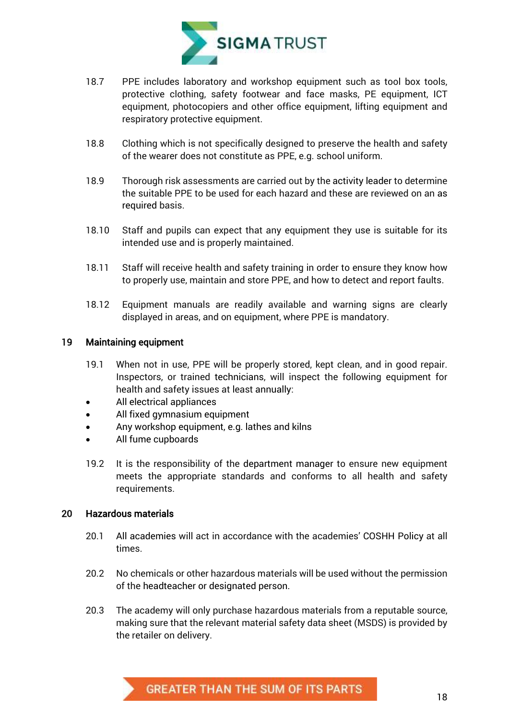

- 18.7 PPE includes laboratory and workshop equipment such as tool box tools, protective clothing, safety footwear and face masks, PE equipment, ICT equipment, photocopiers and other office equipment, lifting equipment and respiratory protective equipment.
- 18.8 Clothing which is not specifically designed to preserve the health and safety of the wearer does not constitute as PPE, e.g. school uniform.
- 18.9 Thorough risk assessments are carried out by the activity leader to determine the suitable PPE to be used for each hazard and these are reviewed on an as required basis.
- 18.10 Staff and pupils can expect that any equipment they use is suitable for its intended use and is properly maintained.
- 18.11 Staff will receive health and safety training in order to ensure they know how to properly use, maintain and store PPE, and how to detect and report faults.
- 18.12 Equipment manuals are readily available and warning signs are clearly displayed in areas, and on equipment, where PPE is mandatory.

#### <span id="page-18-0"></span>19 Maintaining equipment

- 19.1 When not in use, PPE will be properly stored, kept clean, and in good repair. Inspectors, or trained technicians, will inspect the following equipment for health and safety issues at least annually:
- All electrical appliances
- All fixed gymnasium equipment
- Any workshop equipment, e.g. lathes and kilns
- All fume cupboards
- 19.2 It is the responsibility of the department manager to ensure new equipment meets the appropriate standards and conforms to all health and safety requirements.

#### <span id="page-18-1"></span>20 Hazardous materials

- 20.1 All academies will act in accordance with the academies' COSHH Policy at all times.
- 20.2 No chemicals or other hazardous materials will be used without the permission of the headteacher or designated person.
- 20.3 The academy will only purchase hazardous materials from a reputable source, making sure that the relevant material safety data sheet (MSDS) is provided by the retailer on delivery.

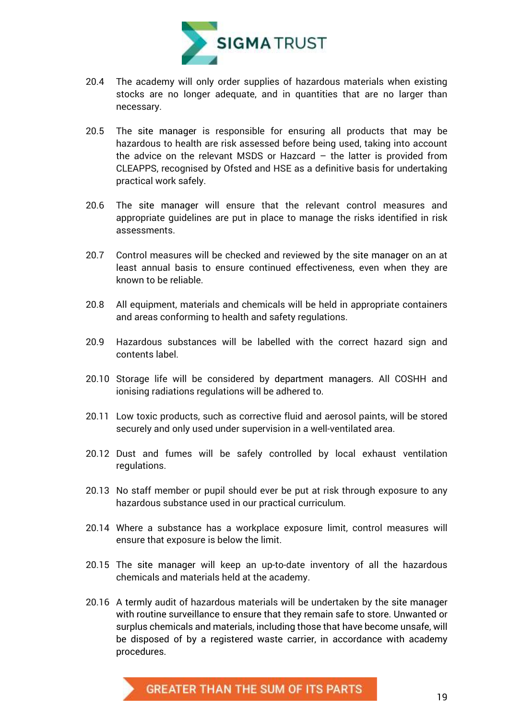

- 20.4 The academy will only order supplies of hazardous materials when existing stocks are no longer adequate, and in quantities that are no larger than necessary.
- 20.5 The site manager is responsible for ensuring all products that may be hazardous to health are risk assessed before being used, taking into account the advice on the relevant MSDS or Hazcard – the latter is provided from CLEAPPS, recognised by Ofsted and HSE as a definitive basis for undertaking practical work safely.
- 20.6 The site manager will ensure that the relevant control measures and appropriate guidelines are put in place to manage the risks identified in risk assessments.
- 20.7 Control measures will be checked and reviewed by the site manager on an at least annual basis to ensure continued effectiveness, even when they are known to be reliable.
- 20.8 All equipment, materials and chemicals will be held in appropriate containers and areas conforming to health and safety regulations.
- 20.9 Hazardous substances will be labelled with the correct hazard sign and contents label.
- 20.10 Storage life will be considered by department managers. All COSHH and ionising radiations regulations will be adhered to.
- 20.11 Low toxic products, such as corrective fluid and aerosol paints, will be stored securely and only used under supervision in a well-ventilated area.
- 20.12 Dust and fumes will be safely controlled by local exhaust ventilation regulations.
- 20.13 No staff member or pupil should ever be put at risk through exposure to any hazardous substance used in our practical curriculum.
- 20.14 Where a substance has a workplace exposure limit, control measures will ensure that exposure is below the limit.
- 20.15 The site manager will keep an up-to-date inventory of all the hazardous chemicals and materials held at the academy.
- 20.16 A termly audit of hazardous materials will be undertaken by the site manager with routine surveillance to ensure that they remain safe to store. Unwanted or surplus chemicals and materials, including those that have become unsafe, will be disposed of by a registered waste carrier, in accordance with academy procedures.

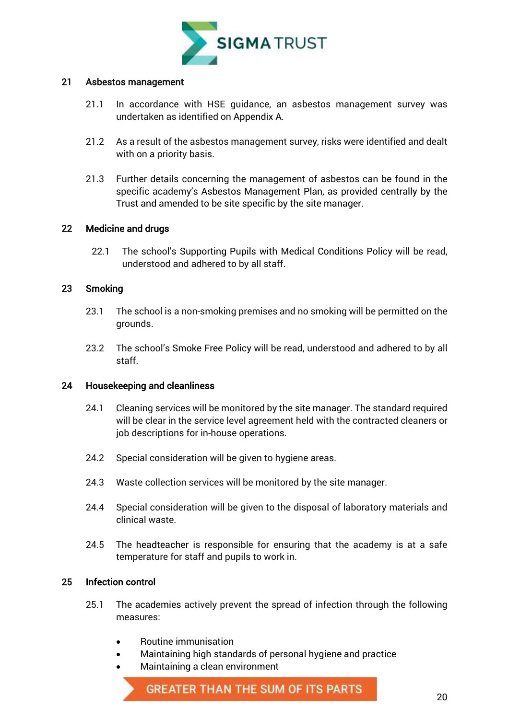

#### <span id="page-20-0"></span>21 Asbestos management

- 21.1 In accordance with HSE guidance, an asbestos management survey was undertaken as identified on Appendix A.
- 21.2 As a result of the asbestos management survey, risks were identified and dealt with on a priority basis.
- 21.3 Further details concerning the management of asbestos can be found in the specific academy's Asbestos Management Plan, as provided centrally by the Trust and amended to be site specific by the site manager.

#### <span id="page-20-1"></span>22 Medicine and drugs

22.1 The school's Supporting Pupils with Medical Conditions Policy will be read, understood and adhered to by all staff.

#### <span id="page-20-2"></span>23 Smoking

- 23.1 The school is a non-smoking premises and no smoking will be permitted on the grounds.
- 23.2 The school's Smoke Free Policy will be read, understood and adhered to by all staff.

#### <span id="page-20-3"></span>24 Housekeeping and cleanliness

- 24.1 Cleaning services will be monitored by the site manager. The standard required will be clear in the service level agreement held with the contracted cleaners or job descriptions for in-house operations.
- 24.2 Special consideration will be given to hygiene areas.
- 24.3 Waste collection services will be monitored by the site manager.
- 24.4 Special consideration will be given to the disposal of laboratory materials and clinical waste.
- 24.5 The headteacher is responsible for ensuring that the academy is at a safe temperature for staff and pupils to work in.

#### <span id="page-20-4"></span>25 Infection control

- 25.1 The academies actively prevent the spread of infection through the following measures:
	- Routine immunisation
		- Maintaining high standards of personal hygiene and practice
	- Maintaining a clean environment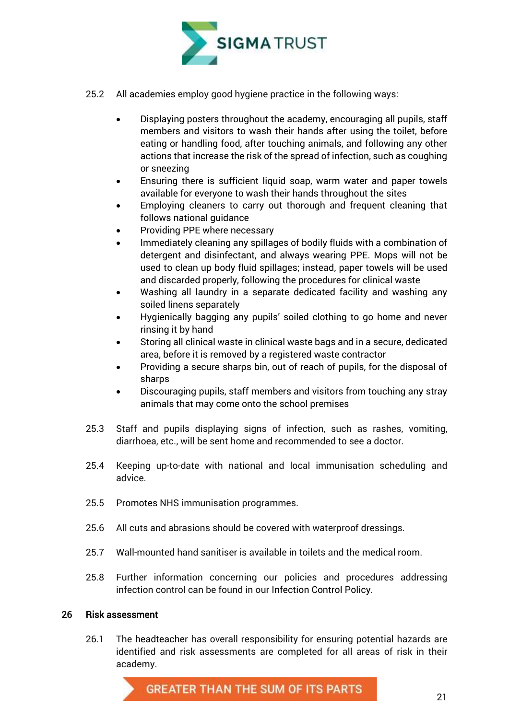

- 25.2 All academies employ good hygiene practice in the following ways:
	- Displaying posters throughout the academy, encouraging all pupils, staff members and visitors to wash their hands after using the toilet, before eating or handling food, after touching animals, and following any other actions that increase the risk of the spread of infection, such as coughing or sneezing
	- Ensuring there is sufficient liquid soap, warm water and paper towels available for everyone to wash their hands throughout the sites
	- Employing cleaners to carry out thorough and frequent cleaning that follows national guidance
	- Providing PPE where necessary
	- Immediately cleaning any spillages of bodily fluids with a combination of detergent and disinfectant, and always wearing PPE. Mops will not be used to clean up body fluid spillages; instead, paper towels will be used and discarded properly, following the procedures for clinical waste
	- Washing all laundry in a separate dedicated facility and washing any soiled linens separately
	- Hygienically bagging any pupils' soiled clothing to go home and never rinsing it by hand
	- Storing all clinical waste in clinical waste bags and in a secure, dedicated area, before it is removed by a registered waste contractor
	- Providing a secure sharps bin, out of reach of pupils, for the disposal of sharps
	- Discouraging pupils, staff members and visitors from touching any stray animals that may come onto the school premises
- 25.3 Staff and pupils displaying signs of infection, such as rashes, vomiting, diarrhoea, etc., will be sent home and recommended to see a doctor.
- 25.4 Keeping up-to-date with national and local immunisation scheduling and advice.
- 25.5 Promotes NHS immunisation programmes.
- 25.6 All cuts and abrasions should be covered with waterproof dressings.
- 25.7 Wall-mounted hand sanitiser is available in toilets and the medical room.
- 25.8 Further information concerning our policies and procedures addressing infection control can be found in our Infection Control Policy.

#### <span id="page-21-0"></span>26 Risk assessment

26.1 The headteacher has overall responsibility for ensuring potential hazards are identified and risk assessments are completed for all areas of risk in their academy.

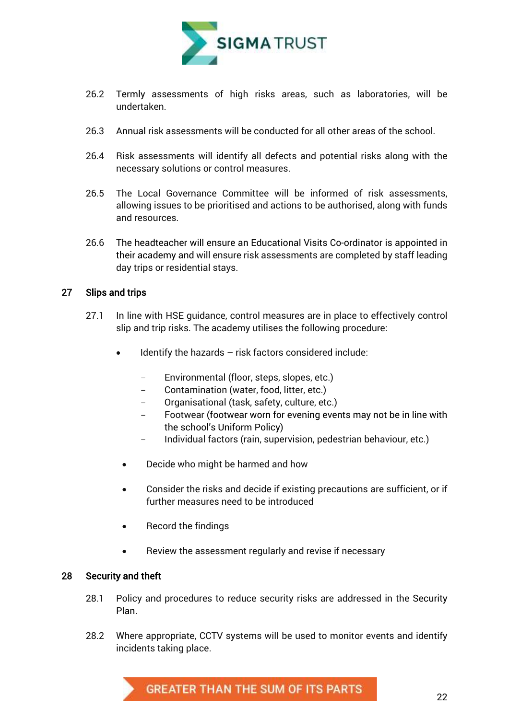

- 26.2 Termly assessments of high risks areas, such as laboratories, will be undertaken.
- 26.3 Annual risk assessments will be conducted for all other areas of the school.
- 26.4 Risk assessments will identify all defects and potential risks along with the necessary solutions or control measures.
- 26.5 The Local Governance Committee will be informed of risk assessments, allowing issues to be prioritised and actions to be authorised, along with funds and resources.
- 26.6 The headteacher will ensure an Educational Visits Co-ordinator is appointed in their academy and will ensure risk assessments are completed by staff leading day trips or residential stays.

#### <span id="page-22-0"></span>27 Slips and trips

- 27.1 In line with HSE guidance, control measures are in place to effectively control slip and trip risks. The academy utilises the following procedure:
	- Identify the hazards risk factors considered include:
		- Environmental (floor, steps, slopes, etc.)
		- Contamination (water, food, litter, etc.)
		- Organisational (task, safety, culture, etc.)
		- Footwear (footwear worn for evening events may not be in line with the school's Uniform Policy)
		- Individual factors (rain, supervision, pedestrian behaviour, etc.)
		- Decide who might be harmed and how
	- Consider the risks and decide if existing precautions are sufficient, or if further measures need to be introduced
	- Record the findings
	- Review the assessment regularly and revise if necessary

#### <span id="page-22-1"></span>28 Security and theft

- 28.1 Policy and procedures to reduce security risks are addressed in the Security Plan.
- 28.2 Where appropriate, CCTV systems will be used to monitor events and identify incidents taking place.

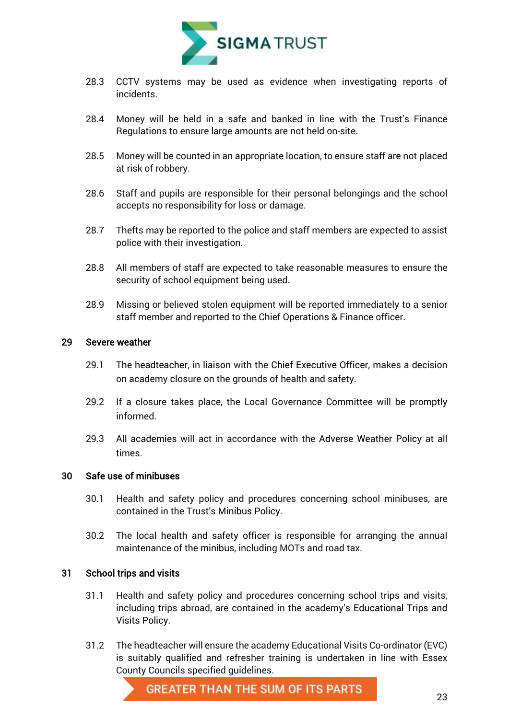

- 28.3 CCTV systems may be used as evidence when investigating reports of incidents.
- 28.4 Money will be held in a safe and banked in line with the Trust's Finance Regulations to ensure large amounts are not held on-site.
- 28.5 Money will be counted in an appropriate location, to ensure staff are not placed at risk of robbery.
- 28.6 Staff and pupils are responsible for their personal belongings and the school accepts no responsibility for loss or damage.
- 28.7 Thefts may be reported to the police and staff members are expected to assist police with their investigation.
- 28.8 All members of staff are expected to take reasonable measures to ensure the security of school equipment being used.
- 28.9 Missing or believed stolen equipment will be reported immediately to a senior staff member and reported to the Chief Operations & Finance officer.

#### <span id="page-23-0"></span>29 Severe weather

- 29.1 The headteacher, in liaison with the Chief Executive Officer, makes a decision on academy closure on the grounds of health and safety.
- 29.2 If a closure takes place, the Local Governance Committee will be promptly informed.
- 29.3 All academies will act in accordance with the Adverse Weather Policy at all times.

#### <span id="page-23-1"></span>30 Safe use of minibuses

- 30.1 Health and safety policy and procedures concerning school minibuses, are contained in the Trust's Minibus Policy.
- 30.2 The local health and safety officer is responsible for arranging the annual maintenance of the minibus, including MOTs and road tax.

#### <span id="page-23-2"></span>31 School trips and visits

- 31.1 Health and safety policy and procedures concerning school trips and visits, including trips abroad, are contained in the academy's Educational Trips and Visits Policy.
- 31.2 The headteacher will ensure the academy Educational Visits Co-ordinator (EVC) is suitably qualified and refresher training is undertaken in line with Essex County Councils specified guidelines.

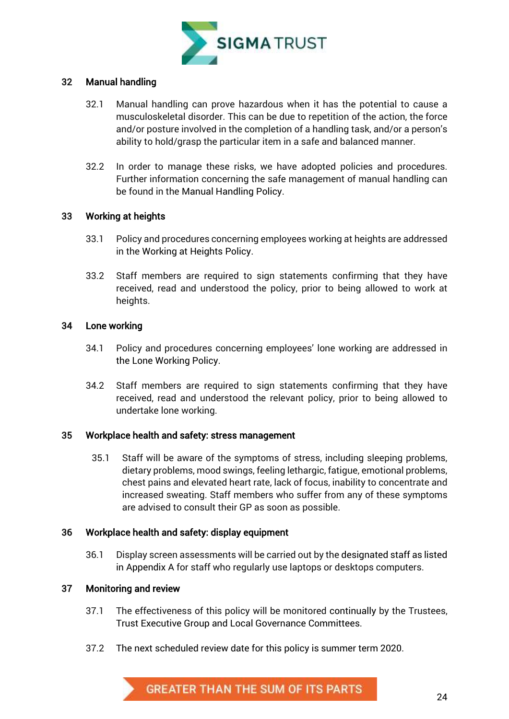

#### <span id="page-24-0"></span>32 Manual handling

- 32.1 Manual handling can prove hazardous when it has the potential to cause a musculoskeletal disorder. This can be due to repetition of the action, the force and/or posture involved in the completion of a handling task, and/or a person's ability to hold/grasp the particular item in a safe and balanced manner.
- 32.2 In order to manage these risks, we have adopted policies and procedures. Further information concerning the safe management of manual handling can be found in the Manual Handling Policy.

#### <span id="page-24-1"></span>33 Working at heights

- 33.1 Policy and procedures concerning employees working at heights are addressed in the Working at Heights Policy.
- 33.2 Staff members are required to sign statements confirming that they have received, read and understood the policy, prior to being allowed to work at heights.

#### <span id="page-24-2"></span>34 Lone working

- 34.1 Policy and procedures concerning employees' lone working are addressed in the Lone Working Policy.
- 34.2 Staff members are required to sign statements confirming that they have received, read and understood the relevant policy, prior to being allowed to undertake lone working.

#### <span id="page-24-3"></span>35 Workplace health and safety: stress management

35.1 Staff will be aware of the symptoms of stress, including sleeping problems, dietary problems, mood swings, feeling lethargic, fatigue, emotional problems, chest pains and elevated heart rate, lack of focus, inability to concentrate and increased sweating. Staff members who suffer from any of these symptoms are advised to consult their GP as soon as possible.

#### <span id="page-24-4"></span>36 Workplace health and safety: display equipment

36.1 Display screen assessments will be carried out by the designated staff as listed in Appendix A for staff who regularly use laptops or desktops computers.

#### <span id="page-24-5"></span>37 Monitoring and review

- 37.1 The effectiveness of this policy will be monitored continually by the Trustees, Trust Executive Group and Local Governance Committees.
- 37.2 The next scheduled review date for this policy is summer term 2020.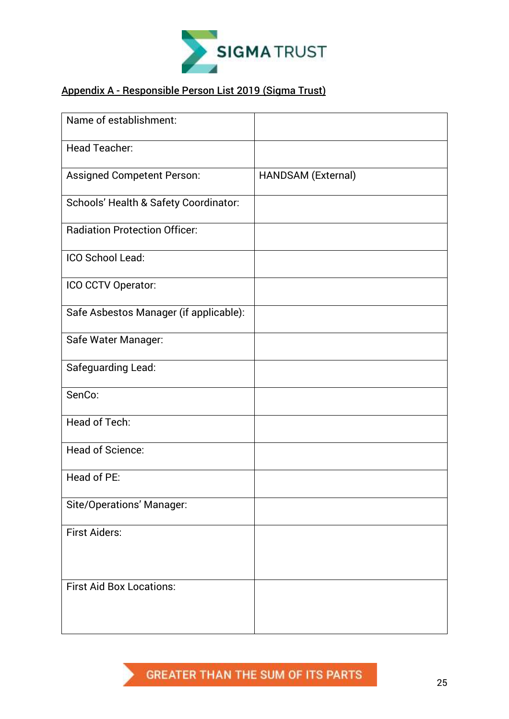

#### <span id="page-25-0"></span>Appendix A - Responsible Person List 2019 (Sigma Trust)

| Name of establishment:                 |                    |
|----------------------------------------|--------------------|
| <b>Head Teacher:</b>                   |                    |
| <b>Assigned Competent Person:</b>      | HANDSAM (External) |
| Schools' Health & Safety Coordinator:  |                    |
| <b>Radiation Protection Officer:</b>   |                    |
| ICO School Lead:                       |                    |
| ICO CCTV Operator:                     |                    |
| Safe Asbestos Manager (if applicable): |                    |
| Safe Water Manager:                    |                    |
| Safeguarding Lead:                     |                    |
| SenCo:                                 |                    |
| <b>Head of Tech:</b>                   |                    |
| Head of Science:                       |                    |
| Head of PE:                            |                    |
| <b>Site/Operations' Manager:</b>       |                    |
| <b>First Aiders:</b>                   |                    |
|                                        |                    |
| <b>First Aid Box Locations:</b>        |                    |
|                                        |                    |

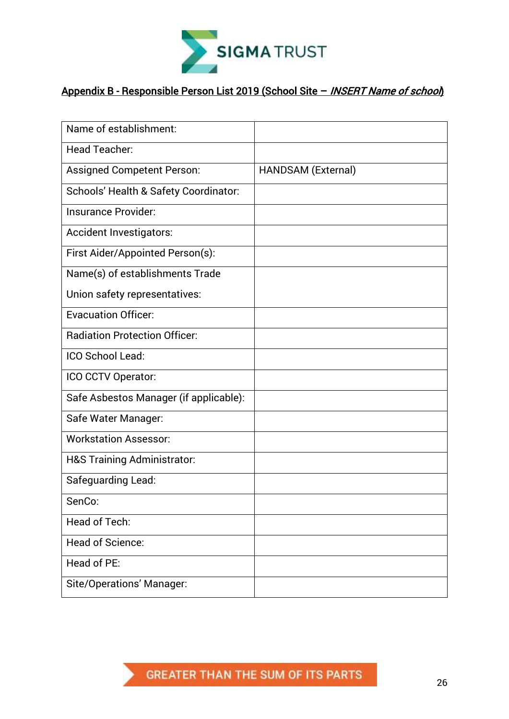

### Appendix B - Responsible Person List 2019 (School Site - INSERT Name of school)

| Name of establishment:                 |                    |
|----------------------------------------|--------------------|
| <b>Head Teacher:</b>                   |                    |
| <b>Assigned Competent Person:</b>      | HANDSAM (External) |
| Schools' Health & Safety Coordinator:  |                    |
| <b>Insurance Provider:</b>             |                    |
| Accident Investigators:                |                    |
| First Aider/Appointed Person(s):       |                    |
| Name(s) of establishments Trade        |                    |
| Union safety representatives:          |                    |
| <b>Evacuation Officer:</b>             |                    |
| <b>Radiation Protection Officer:</b>   |                    |
| ICO School Lead:                       |                    |
| ICO CCTV Operator:                     |                    |
| Safe Asbestos Manager (if applicable): |                    |
| Safe Water Manager:                    |                    |
| <b>Workstation Assessor:</b>           |                    |
| <b>H&amp;S Training Administrator:</b> |                    |
| Safeguarding Lead:                     |                    |
| SenCo:                                 |                    |
| <b>Head of Tech:</b>                   |                    |
| <b>Head of Science:</b>                |                    |
| Head of PE:                            |                    |
| <b>Site/Operations' Manager:</b>       |                    |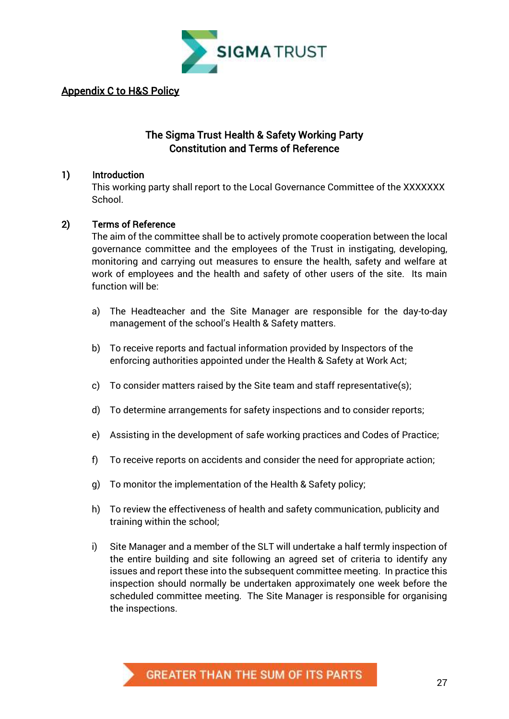

#### Appendix C to H&S Policy

#### The Sigma Trust Health & Safety Working Party Constitution and Terms of Reference

#### 1) Introduction

This working party shall report to the Local Governance Committee of the XXXXXXX **School**.

#### 2) Terms of Reference

The aim of the committee shall be to actively promote cooperation between the local governance committee and the employees of the Trust in instigating, developing, monitoring and carrying out measures to ensure the health, safety and welfare at work of employees and the health and safety of other users of the site. Its main function will be:

- a) The Headteacher and the Site Manager are responsible for the day-to-day management of the school's Health & Safety matters.
- b) To receive reports and factual information provided by Inspectors of the enforcing authorities appointed under the Health & Safety at Work Act;
- c) To consider matters raised by the Site team and staff representative(s);
- d) To determine arrangements for safety inspections and to consider reports;
- e) Assisting in the development of safe working practices and Codes of Practice;
- f) To receive reports on accidents and consider the need for appropriate action;
- g) To monitor the implementation of the Health & Safety policy;
- h) To review the effectiveness of health and safety communication, publicity and training within the school;
- i) Site Manager and a member of the SLT will undertake a half termly inspection of the entire building and site following an agreed set of criteria to identify any issues and report these into the subsequent committee meeting. In practice this inspection should normally be undertaken approximately one week before the scheduled committee meeting. The Site Manager is responsible for organising the inspections.

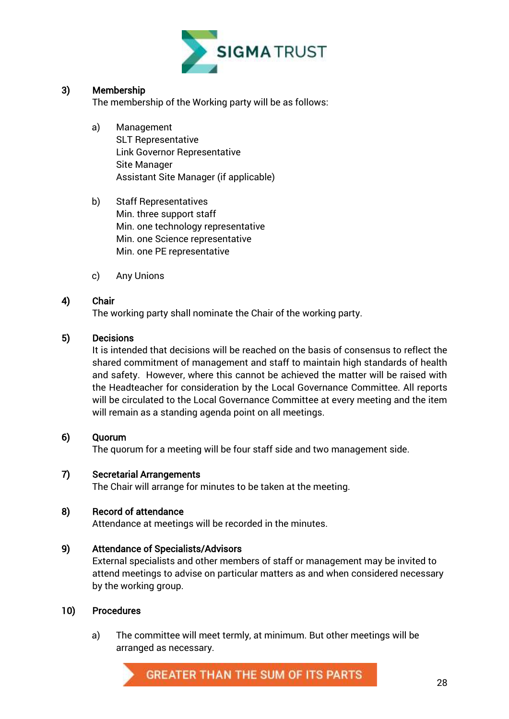

#### 3) Membership

The membership of the Working party will be as follows:

- a) Management SLT Representative Link Governor Representative Site Manager Assistant Site Manager (if applicable)
- b) Staff Representatives Min. three support staff Min. one technology representative Min. one Science representative Min. one PE representative
- c) Any Unions

#### 4) Chair

The working party shall nominate the Chair of the working party.

#### 5) Decisions

It is intended that decisions will be reached on the basis of consensus to reflect the shared commitment of management and staff to maintain high standards of health and safety. However, where this cannot be achieved the matter will be raised with the Headteacher for consideration by the Local Governance Committee. All reports will be circulated to the Local Governance Committee at every meeting and the item will remain as a standing agenda point on all meetings.

#### 6) Quorum

The quorum for a meeting will be four staff side and two management side.

#### 7) Secretarial Arrangements

The Chair will arrange for minutes to be taken at the meeting.

#### 8) Record of attendance

Attendance at meetings will be recorded in the minutes.

#### 9) Attendance of Specialists/Advisors

External specialists and other members of staff or management may be invited to attend meetings to advise on particular matters as and when considered necessary by the working group.

#### 10) Procedures

a) The committee will meet termly, at minimum. But other meetings will be arranged as necessary.